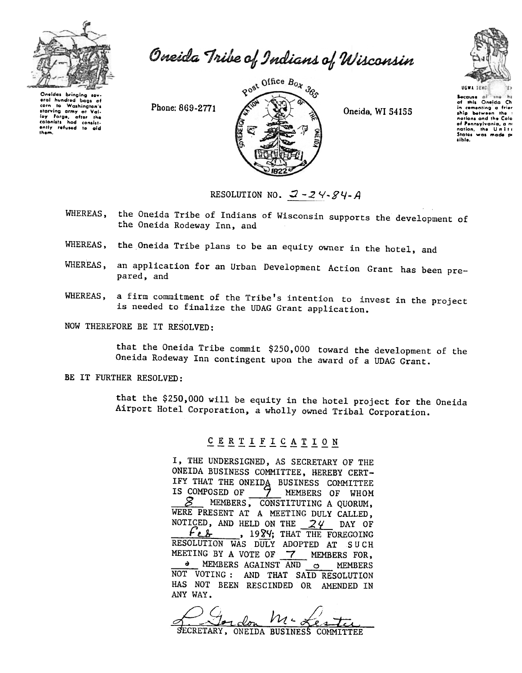

Oneida Tribe of Indians of Wisconsin

Oneldas bringing sev eral hundred bags of to Washington's corn corn to Washington's<br>starving army at Vali-<br>ley Forge, after the<br>colonists had consist-<br>ently refused to ald<br>them.

Phone: 869-2771



Oneida, WI 54155



Secause of the his<br>of this Oneida Ch in comenting a ship between nations and the nation, the Uni sible.

RESOLUTION NO.  $2 - 24 - 84 - A$ 

- WHEREAS, the Oneida Tribe of Indians of Wisconsin supports the development of the Oneida Rodeway Inn, and
- WHEREAS, the Oneida Tribe plans to be an equity owner in the hotel, and
- WHEREAS, an application for an Urban Development Action Grant has been prepared, and
- a firm commitment of the Tribe's intention to invest in the project WHEREAS, is needed to finalize the UDAG Grant application.

NOW THEREFORE BE IT RESOLVED:

that the Oneida Tribe commit \$250,000 toward the development of the Oneida Rodeway Inn contingent upon the award of a UDAG Grant.

## BE IT FURTHER RESOLVED:

that the \$250,000 will be equity in the hotel project for the Oneida Airport Hotel Corporation, a wholly owned Tribal Corporation.

## CERTIFICATION

I, THE UNDERSIGNED, AS SECRETARY OF THE ONEIDA BUSINESS COMMITTEE, HEREBY CERT-IFY THAT THE ONEIDA BUSINESS COMMITTEE IS COMPOSED OF MEMBERS OF WHOM **S** MEMBERS, CONSTITUTING A QUORUM, WERE PRESENT AT A MEETING DULY CALLED, NOTICED, AND HELD ON THE  $24$  DAY OF *<u>Feb</u>* , 1984; THAT THE FOREGOING RESOLUTION WAS DULY ADOPTED AT SUCH MEETING BY A VOTE OF 7 MEMBERS FOR. MEMBERS AGAINST AND **MEMBERS**  $\circ$ NOT VOTING: AND THAT SAID RESOLUTION HAS NOT BEEN RESCINDED OR AMENDED IN ANY WAY.

M-Les SECRETARY, ONEIDA BUSINESS COMMITTEE